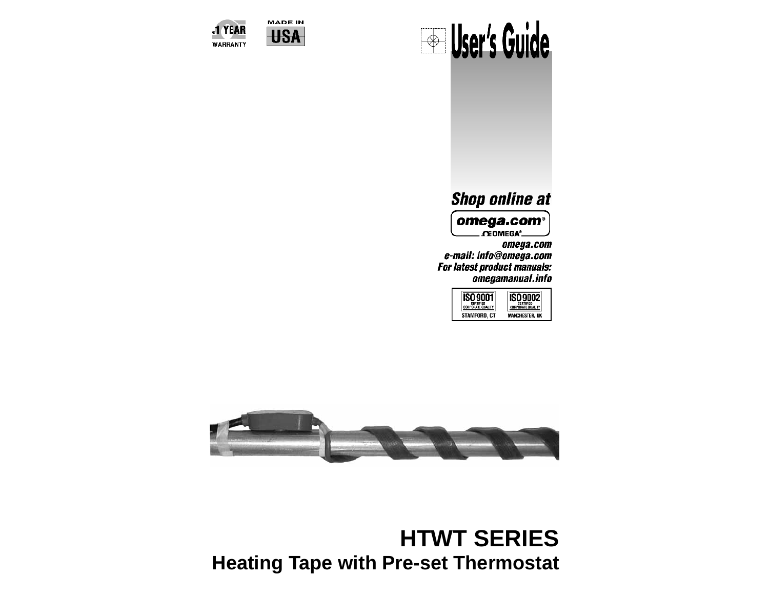



## **Shop online at**

omega.com<sup>®</sup> **. OEOMEGA'** 

omega.com e-mail: info@omega.com For latest product manuals: omegamanual.info

| CERTIFIED<br><b>RPORATE OIM</b><br>ord, ct | CERTIFIED<br><b>IPORATE QUALITY</b><br>ICHESTER. UK |
|--------------------------------------------|-----------------------------------------------------|
|                                            |                                                     |



# **HTWT SERIES Heating Tape with Pre-set Thermostat**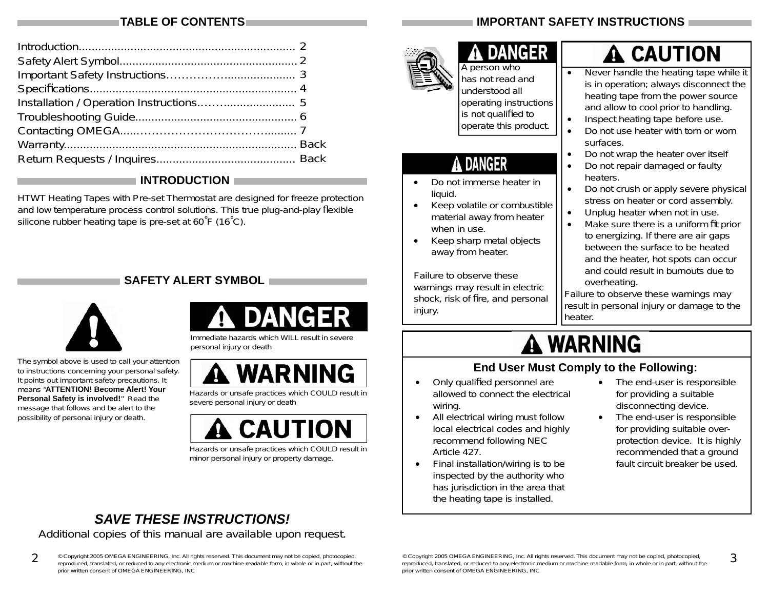### **TABLE OF CONTENTS**

#### **INTRODUCTION**

HTWT Heating Tapes with Pre-set Thermostat are designed for freeze protection and low temperature process control solutions. This true plug-and-play flexible silicone rubber heating tape is pre-set at 60˚F (16˚C).

### **SAFETY ALERT SYMBOL**



The symbol above is used to call your attention to instructions concerning your personal safety. It points out important safety precautions. It means "**ATTENTION! Become Alert! Your Personal Safety is involved!**" Read the message that follows and be alert to the possibility of personal injury or death.



Immediate hazards which WILL result in severe personal injury or death



Hazards or unsafe practices which COULD result in severe personal injury or death



Hazards or unsafe practices which COULD result in minor personal injury or property damage.

## *SAVE THESE INSTRUCTIONS!*

Additional copies of this manual are available upon request.

**2**© Copyright 2005 OMEGA ENGINEERING, Inc. All rights reserved. This document may not be copied, photocopied,<br>reproduced, translated, or reduced to any electronic medium or machine-readable form, in whole or in part, without prior written consent of OMEGA ENGINEERING, INC

## **IMPORTANT SAFETY INSTRUCTIONS**



A person who has not read and understood all operating instructions is not qualified to operate this product.

**DANGER** 

## DANGER

- Do not immerse heater in liquid.
- Keep volatile or combustible material away from heater when in use.
- Keep sharp metal objects away from heater.

Failure to observe these warnings may result in electric shock, risk of fire, and personal injury.

# $\mathbf{\mathbf{\Delta}}$  CAUTION

- Never handle the heating tape while it is in operation; always disconnect the heating tape from the power source and allow to cool prior to handling.
- Inspect heating tape before use.
- Do not use heater with torn or worn surfaces.
- Do not wrap the heater over itself
- Do not repair damaged or faulty heaters.
- Do not crush or apply severe physical stress on heater or cord assembly.
- Unplug heater when not in use.
- Make sure there is a uniform fit prior to energizing. If there are air gaps between the surface to be heated and the heater, hot spots can occur and could result in burnouts due to overheating.

Failure to observe these warnings may result in personal injury or damage to the heater.

# **A WARNING**

### **End User Must Comply to the Following:**

- Only qualified personnel are allowed to connect the electrical wiring.
- All electrical wiring must follow local electrical codes and highly recommend following NEC Article 427.
- Final installation/wiring is to be inspected by the authority who has jurisdiction in the area that the heating tape is installed.
- The end-user is responsible for providing a suitable disconnecting device.
- The end-user is responsible for providing suitable overprotection device. It is highly recommended that a ground fault circuit breaker be used.

**3**

© Copyright 2005 OMEGA ENGINEERING, Inc. All rights reserved. This document may not be copied, photocopied,<br>reproduced, translated, or reduced to any electronic medium or machine-readable form, in whole or in part, without prior written consent of OMEGA ENGINEERING, INC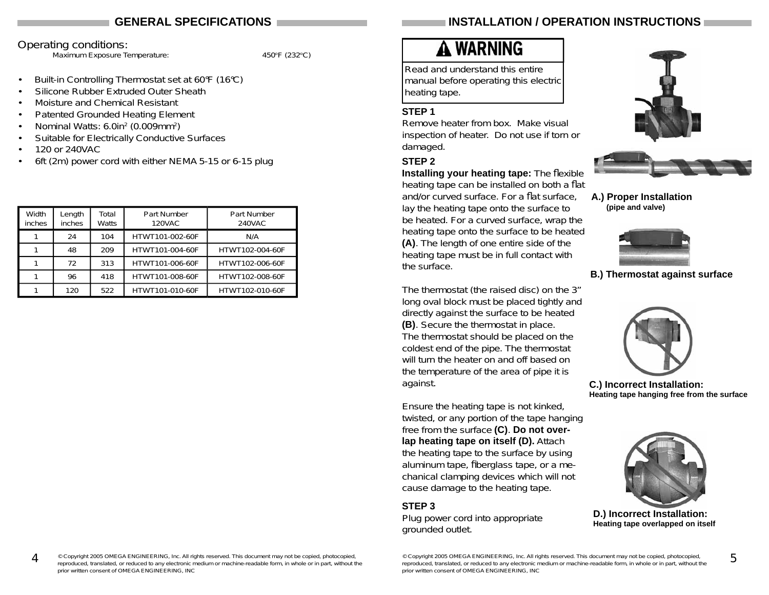#### **GENERAL SPECIFICATIONS**

#### Operating conditions:

Maximum Exposure Temperature: 450°F (232°C)

- Built-in Controlling Thermostat set at 60°F (16°C)
- Silicone Rubber Extruded Outer Sheath
- Moisture and Chemical Resistant
- Patented Grounded Heating Element
- Nominal Watts: 6.0in2 (0.009mm2)
- Suitable for Electrically Conductive Surfaces
- 120 or 240VAC
- 6ft (2m) power cord with either NEMA 5-15 or 6-15 plug

| Width<br>inches | Length<br>inches | Total<br>Watts | Part Number<br><b>120VAC</b> | Part Number<br>240VAC |
|-----------------|------------------|----------------|------------------------------|-----------------------|
|                 | 24               | 104            | HTWT101-002-60F              | N/A                   |
|                 | 48               | 209            | HTWT101-004-60F              | HTWT102-004-60F       |
|                 | 72               | 313            | HTWT101-006-60F              | HTWT102-006-60F       |
|                 | 96               | 418            | HTWT101-008-60F              | HTWT102-008-60F       |
|                 | 120              | 522            | HTWT101-010-60F              | HTWT102-010-60F       |

### **INSTALLATION / OPERATION INSTRUCTIONS**

# A WARNING

Read and understand this entire manual before operating this electric heating tape.

#### **STEP 1**

Remove heater from box. Make visual inspection of heater. Do not use if torn or damaged.

#### **STEP 2**

**Installing your heating tape:** The flexible heating tape can be installed on both a flat and/or curved surface. For a flat surface. lay the heating tape onto the surface to be heated. For a curved surface, wrap the heating tape onto the surface to be heated **(A)**. The length of one entire side of the heating tape must be in full contact with the surface.

The thermostat (the raised disc) on the 3" long oval block must be placed tightly and directly against the surface to be heated **(B)**. Secure the thermostat in place. The thermostat should be placed on the coldest end of the pipe. The thermostat will turn the heater on and off based on the temperature of the area of pipe it is against.

Ensure the heating tape is not kinked, twisted, or any portion of the tape hanging free from the surface **(C)**. **Do not overlap heating tape on itself (D).** Attach the heating tape to the surface by using aluminum tape, fiberglass tape, or a mechanical clamping devices which will not cause damage to the heating tape.

#### **STEP 3**

Plug power cord into appropriate grounded outlet.





**A.) Proper Installation (pipe and valve)**



**B.) Thermostat against surface**



**C.) Incorrect Installation: Heating tape hanging free from the surface**



**D.) Incorrect Installation: Heating tape overlapped on itself**

**4**© Copyright 2005 OMEGA ENGINEERING, Inc. All rights reserved. This document may not be copied, photocopied,<br>reproduced, translated, or reduced to any electronic medium or machine-readable form, in whole or in part, without prior written consent of OMEGA ENGINEERING, INC

<sup>©</sup> Copyright 2005 OMEGA ENGINEERING, Inc. All rights reserved. This document may not be copied, photocopied,<br>reproduced, translated, or reduced to any electronic medium or machine-readable form, in whole or in part, without prior written consent of OMEGA ENGINEERING, INC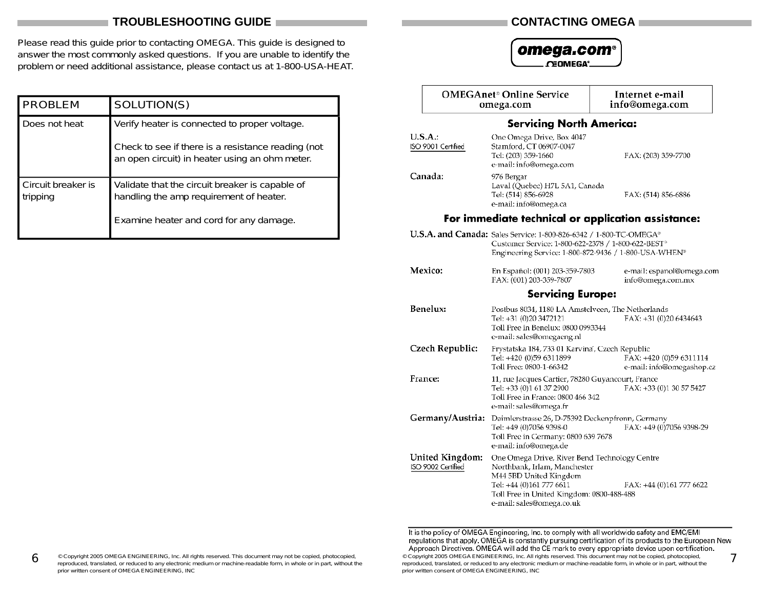#### **TROUBLESHOOTING GUIDE**

Please read this guide prior to contacting OMEGA. This guide is designed to answer the most commonly asked questions. If you are unable to identify the problem or need additional assistance, please contact us at 1-800-USA-HEAT.

| <b>PROBLEM</b>                 | SOLUTION(S)                                                                                                                                           |  |
|--------------------------------|-------------------------------------------------------------------------------------------------------------------------------------------------------|--|
| Does not heat                  | Verify heater is connected to proper voltage.<br>Check to see if there is a resistance reading (not<br>an open circuit) in heater using an ohm meter. |  |
| Circuit breaker is<br>tripping | Validate that the circuit breaker is capable of<br>handling the amp requirement of heater.<br>Examine heater and cord for any damage.                 |  |

#### **CONTACTING OMEGA**

#### omega.com<sup>®</sup>

CEOMEGA<sup>®</sup>

|                  |                                       | <b>OMEGAnet<sup>®</sup></b> Online Service<br>omega.com                                                                                                                                                       | Internet e-mail<br>info@omega.com                    |
|------------------|---------------------------------------|---------------------------------------------------------------------------------------------------------------------------------------------------------------------------------------------------------------|------------------------------------------------------|
|                  |                                       | <b>Servicing North America:</b>                                                                                                                                                                               |                                                      |
|                  | U.S.A.:<br>ISO 9001 Certified         | One Omega Drive, Box 4047<br>Stamford, CT 06907-0047<br>Tel: (203) 359-1660<br>e-mail: info@omega.com                                                                                                         | FAX: (203) 359-7700                                  |
| Canada:          |                                       | 976 Bergar<br>Laval (Quebec) H7L 5A1, Canada<br>Tel: (514) 856-6928<br>e-mail: info@omega.ca                                                                                                                  | FAX: (514) 856-6886                                  |
|                  |                                       |                                                                                                                                                                                                               | For immediate technical or application assistance:   |
|                  |                                       | U.S.A. and Canada: Sales Service: 1-800-826-6342 / 1-800-TC-OMEGA <sup>®</sup><br>Customer Service: 1-800-622-2378 / 1-800-622-BEST <sup>®</sup><br>Engineering Service: 1-800-872-9436 / 1-800-USA-WHEN®     |                                                      |
|                  | Mexico:                               | En Español: (001) 203-359-7803<br>FAX: (001) 203-359-7807                                                                                                                                                     | e-mail: espanol@omega.com<br>info@omega.com.mx       |
|                  |                                       | <b>Servicing Europe:</b>                                                                                                                                                                                      |                                                      |
|                  | Benelux:                              | Postbus 8034, 1180 LA Amstelveen, The Netherlands<br>Tel: +31 (0)20 3472121<br>Toll Free in Benelux: 0800 0993344<br>e-mail: sales@omegaeng.nl                                                                | FAX: +31 (0)20 6434643                               |
|                  | Czech Republic:                       | Frystatska 184, 733 01 Karvina, Czech Republic<br>Tel: +420 (0)59 6311899<br>Toll Free: 0800-1-66342                                                                                                          | FAX: +420 (0)59 6311114<br>e-mail: info@omegashop.cz |
| <b>France:</b>   |                                       | 11, rue Jacques Cartier, 78280 Guyancourt, France<br>Tel: +33 (0)1 61 37 2900<br>Toll Free in France: 0800 466 342<br>e-mail: sales@omega.fr                                                                  | FAX: +33 (0)1 30 57 5427                             |
| Germany/Austria: |                                       | Daimlerstrasse 26, D-75392 Deckenpfronn, Germany<br>Tel: +49 (0)7056 9398-0<br>Toll Free in Germany: 0800 639 7678<br>e-mail: info@omega.de                                                                   | FAX: +49 (0)7056 9398-29                             |
|                  | United Kingdom:<br>ISO 9002 Certified | One Omega Drive, River Bend Technology Centre<br>Northbank, Irlam, Manchester<br>M44 5BD United Kingdom<br>Tel: +44 (0)161 777 6611<br>Toll Free in United Kingdom: 0800-488-488<br>e-mail: sales@omega.co.uk | FAX: +44 (0)161 777 6622                             |

It is the policy of OMEGA Engineering, Inc. to comply with all worldwide safety and EMC/EMI<br>regulations that apply. OMEGA is constantly pursuing certification of its products to the European New<br>Approach Directives. OMEGA © Copyright 2005 OMEGA ENGINEERING, Inc. All rights reserved. This document may not be copied, photocopied, reproduced, translated, or reduced to any electronic medium or machine-readable form, in whole or in part, without **7**prior written consent of OMEGA ENGINEERING, INC

**6**© Copyright 2005 OMEGA ENGINEERING, Inc. All rights reserved. This document may not be copied, photocopied,<br>reproduced, translated, or reduced to any electronic medium or machine-readable form, in whole or in part, without prior written consent of OMEGA ENGINEERING, INC